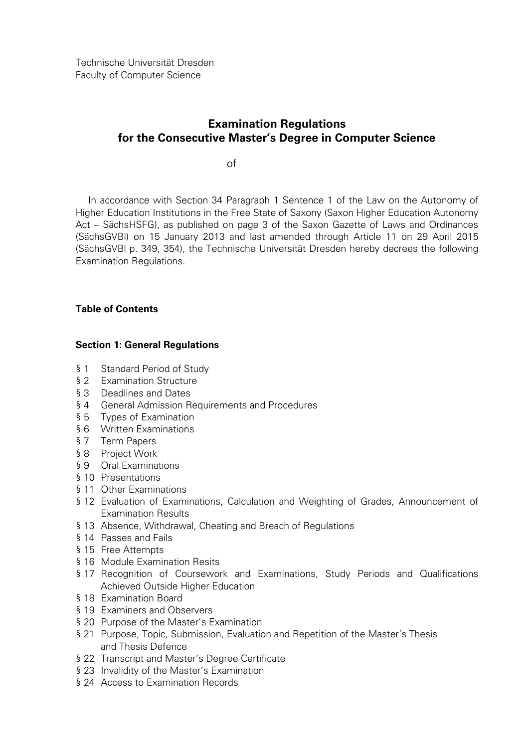# **Examination Regulations for the Consecutive Master's Degree in Computer Science**

of

In accordance with Section 34 Paragraph 1 Sentence 1 of the Law on the Autonomy of Higher Education Institutions in the Free State of Saxony (Saxon Higher Education Autonomy Act – SächsHSFG), as published on page 3 of the Saxon Gazette of Laws and Ordinances (SächsGVBl) on 15 January 2013 and last amended through Article 11 on 29 April 2015 (SächsGVBl p. 349, 354), the Technische Universität Dresden hereby decrees the following Examination Regulations.

# **Table of Contents**

# **Section 1: General Regulations**

- § 1 Standard Period of Study
- § 2 Examination Structure
- § 3 Deadlines and Dates
- § 4 General Admission Requirements and Procedures
- § 5 Types of Examination
- § 6 Written Examinations
- § 7 Term Papers
- § 8 Project Work
- § 9 Oral Examinations
- § 10 Presentations
- § 11 Other Examinations
- § 12 Evaluation of Examinations, Calculation and Weighting of Grades, Announcement of Examination Results
- § 13 Absence, Withdrawal, Cheating and Breach of Regulations
- § 14 Passes and Fails
- § 15 Free Attempts
- § 16 Module Examination Resits
- § 17 Recognition of Coursework and Examinations, Study Periods and Qualifications Achieved Outside Higher Education
- § 18 Examination Board
- § 19 Examiners and Observers
- § 20 Purpose of the Master's Examination
- § 21 Purpose, Topic, Submission, Evaluation and Repetition of the Master's Thesis and Thesis Defence
- § 22 Transcript and Master's Degree Certificate
- § 23 Invalidity of the Master's Examination
- § 24 Access to Examination Records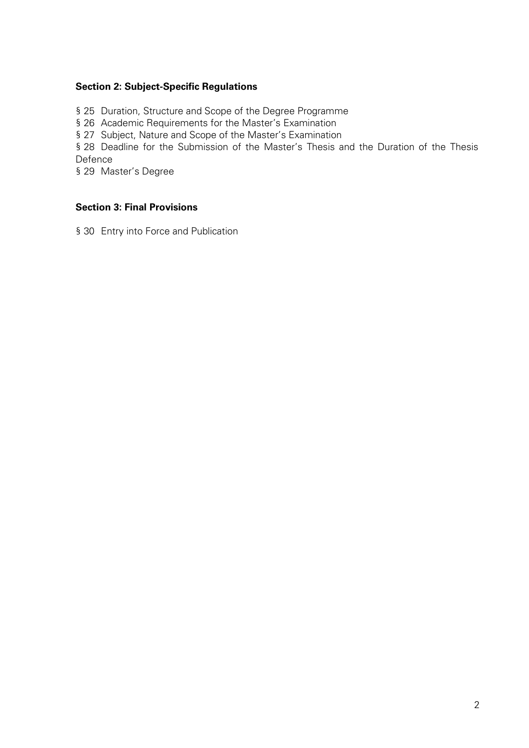# **Section 2: Subject-Specific Regulations**

§ 25 Duration, Structure and Scope of the Degree Programme

§ 26 Academic Requirements for the Master's Examination

§ 27 Subject, Nature and Scope of the Master's Examination

§ 28 Deadline for the Submission of the Master's Thesis and the Duration of the Thesis Defence

§ 29 Master's Degree

# **Section 3: Final Provisions**

§ 30 Entry into Force and Publication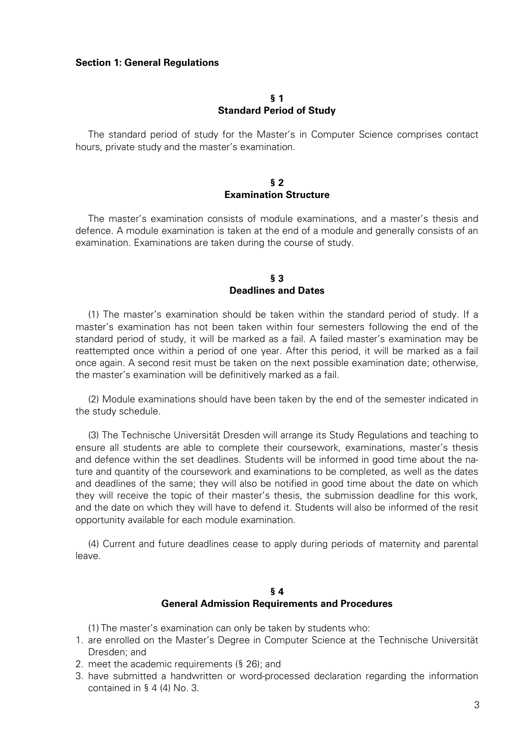#### **Section 1: General Regulations**

### **§ 1 Standard Period of Study**

The standard period of study for the Master's in Computer Science comprises contact hours, private study and the master's examination.

# **§ 2 Examination Structure**

The master's examination consists of module examinations, and a master's thesis and defence. A module examination is taken at the end of a module and generally consists of an examination. Examinations are taken during the course of study.

#### **§ 3 Deadlines and Dates**

(1) The master's examination should be taken within the standard period of study. If a master's examination has not been taken within four semesters following the end of the standard period of study, it will be marked as a fail. A failed master's examination may be reattempted once within a period of one year. After this period, it will be marked as a fail once again. A second resit must be taken on the next possible examination date; otherwise, the master's examination will be definitively marked as a fail.

(2) Module examinations should have been taken by the end of the semester indicated in the study schedule.

(3) The Technische Universität Dresden will arrange its Study Regulations and teaching to ensure all students are able to complete their coursework, examinations, master's thesis and defence within the set deadlines. Students will be informed in good time about the nature and quantity of the coursework and examinations to be completed, as well as the dates and deadlines of the same; they will also be notified in good time about the date on which they will receive the topic of their master's thesis, the submission deadline for this work, and the date on which they will have to defend it. Students will also be informed of the resit opportunity available for each module examination.

(4) Current and future deadlines cease to apply during periods of maternity and parental leave.

# **§ 4 General Admission Requirements and Procedures**

(1) The master's examination can only be taken by students who:

- 1. are enrolled on the Master's Degree in Computer Science at the Technische Universität Dresden; and
- 2. meet the academic requirements (§ 26); and
- 3. have submitted a handwritten or word-processed declaration regarding the information contained in § 4 (4) No. 3.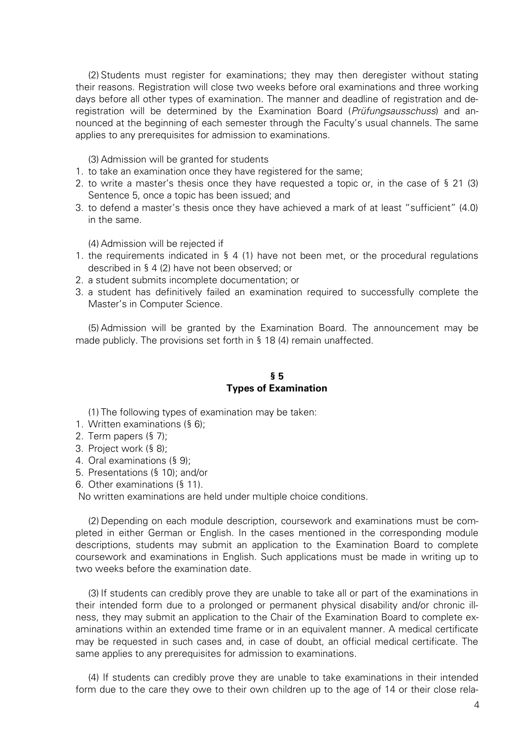(2) Students must register for examinations; they may then deregister without stating their reasons. Registration will close two weeks before oral examinations and three working days before all other types of examination. The manner and deadline of registration and deregistration will be determined by the Examination Board (Prüfungsausschuss) and announced at the beginning of each semester through the Faculty's usual channels. The same applies to any prerequisites for admission to examinations.

(3) Admission will be granted for students

- 1. to take an examination once they have registered for the same;
- 2. to write a master's thesis once they have requested a topic or, in the case of § 21 (3) Sentence 5, once a topic has been issued; and
- 3. to defend a master's thesis once they have achieved a mark of at least "sufficient" (4.0) in the same.

(4) Admission will be rejected if

- 1. the requirements indicated in § 4 (1) have not been met, or the procedural regulations described in § 4 (2) have not been observed; or
- 2. a student submits incomplete documentation; or
- 3. a student has definitively failed an examination required to successfully complete the Master's in Computer Science.

(5) Admission will be granted by the Examination Board. The announcement may be made publicly. The provisions set forth in § 18 (4) remain unaffected.

#### **§ 5 Types of Examination**

(1) The following types of examination may be taken:

- 1. Written examinations (§ 6);
- 2. Term papers (§ 7);
- 3. Project work (§ 8);
- 4. Oral examinations (§ 9);
- 5. Presentations (§ 10); and/or
- 6. Other examinations (§ 11).

No written examinations are held under multiple choice conditions.

(2) Depending on each module description, coursework and examinations must be completed in either German or English. In the cases mentioned in the corresponding module descriptions, students may submit an application to the Examination Board to complete coursework and examinations in English. Such applications must be made in writing up to two weeks before the examination date.

(3) If students can credibly prove they are unable to take all or part of the examinations in their intended form due to a prolonged or permanent physical disability and/or chronic illness, they may submit an application to the Chair of the Examination Board to complete examinations within an extended time frame or in an equivalent manner. A medical certificate may be requested in such cases and, in case of doubt, an official medical certificate. The same applies to any prerequisites for admission to examinations.

(4) If students can credibly prove they are unable to take examinations in their intended form due to the care they owe to their own children up to the age of 14 or their close rela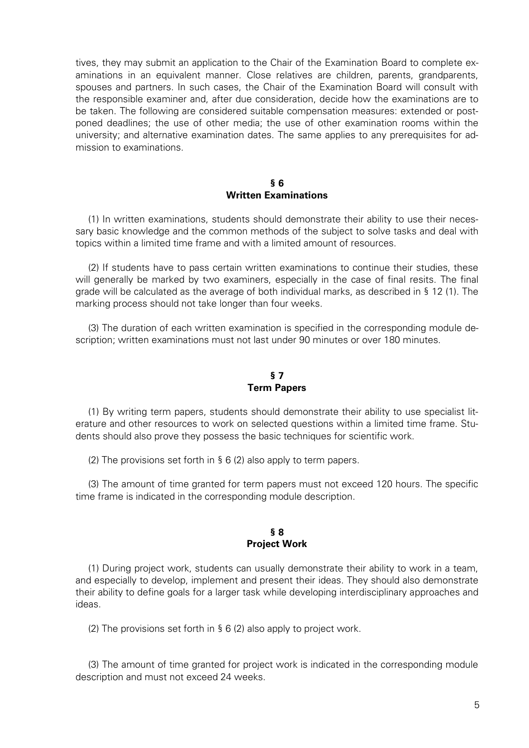tives, they may submit an application to the Chair of the Examination Board to complete examinations in an equivalent manner. Close relatives are children, parents, grandparents, spouses and partners. In such cases, the Chair of the Examination Board will consult with the responsible examiner and, after due consideration, decide how the examinations are to be taken. The following are considered suitable compensation measures: extended or postponed deadlines; the use of other media; the use of other examination rooms within the university; and alternative examination dates. The same applies to any prerequisites for admission to examinations.

# **§ 6 Written Examinations**

(1) In written examinations, students should demonstrate their ability to use their necessary basic knowledge and the common methods of the subject to solve tasks and deal with topics within a limited time frame and with a limited amount of resources.

(2) If students have to pass certain written examinations to continue their studies, these will generally be marked by two examiners, especially in the case of final resits. The final grade will be calculated as the average of both individual marks, as described in § 12 (1). The marking process should not take longer than four weeks.

(3) The duration of each written examination is specified in the corresponding module description; written examinations must not last under 90 minutes or over 180 minutes.

# **§ 7 Term Papers**

(1) By writing term papers, students should demonstrate their ability to use specialist literature and other resources to work on selected questions within a limited time frame. Students should also prove they possess the basic techniques for scientific work.

(2) The provisions set forth in § 6 (2) also apply to term papers.

(3) The amount of time granted for term papers must not exceed 120 hours. The specific time frame is indicated in the corresponding module description.

#### **§ 8 Project Work**

(1) During project work, students can usually demonstrate their ability to work in a team, and especially to develop, implement and present their ideas. They should also demonstrate their ability to define goals for a larger task while developing interdisciplinary approaches and ideas.

(2) The provisions set forth in § 6 (2) also apply to project work.

(3) The amount of time granted for project work is indicated in the corresponding module description and must not exceed 24 weeks.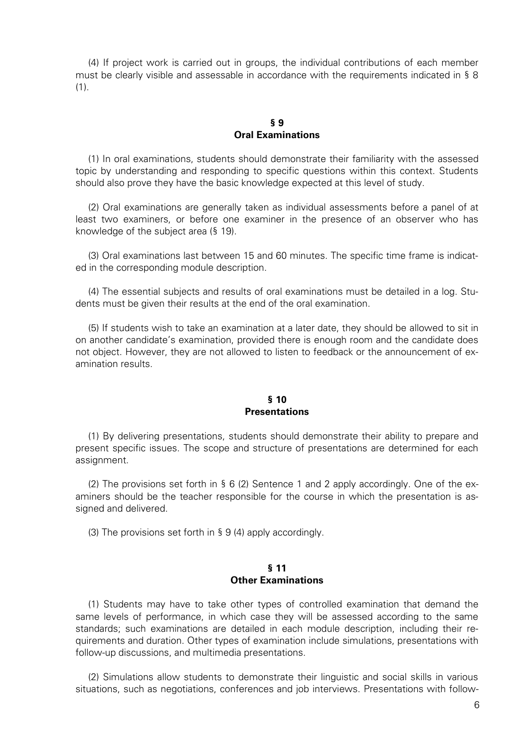(4) If project work is carried out in groups, the individual contributions of each member must be clearly visible and assessable in accordance with the requirements indicated in § 8 (1).

# **§ 9 Oral Examinations**

(1) In oral examinations, students should demonstrate their familiarity with the assessed topic by understanding and responding to specific questions within this context. Students should also prove they have the basic knowledge expected at this level of study.

(2) Oral examinations are generally taken as individual assessments before a panel of at least two examiners, or before one examiner in the presence of an observer who has knowledge of the subject area (§ 19).

(3) Oral examinations last between 15 and 60 minutes. The specific time frame is indicated in the corresponding module description.

(4) The essential subjects and results of oral examinations must be detailed in a log. Students must be given their results at the end of the oral examination.

(5) If students wish to take an examination at a later date, they should be allowed to sit in on another candidate's examination, provided there is enough room and the candidate does not object. However, they are not allowed to listen to feedback or the announcement of examination results.

#### **§ 10 Presentations**

(1) By delivering presentations, students should demonstrate their ability to prepare and present specific issues. The scope and structure of presentations are determined for each assignment.

(2) The provisions set forth in § 6 (2) Sentence 1 and 2 apply accordingly. One of the examiners should be the teacher responsible for the course in which the presentation is assigned and delivered.

(3) The provisions set forth in § 9 (4) apply accordingly.

#### **§ 11 Other Examinations**

(1) Students may have to take other types of controlled examination that demand the same levels of performance, in which case they will be assessed according to the same standards; such examinations are detailed in each module description, including their requirements and duration. Other types of examination include simulations, presentations with follow-up discussions, and multimedia presentations.

(2) Simulations allow students to demonstrate their linguistic and social skills in various situations, such as negotiations, conferences and job interviews. Presentations with follow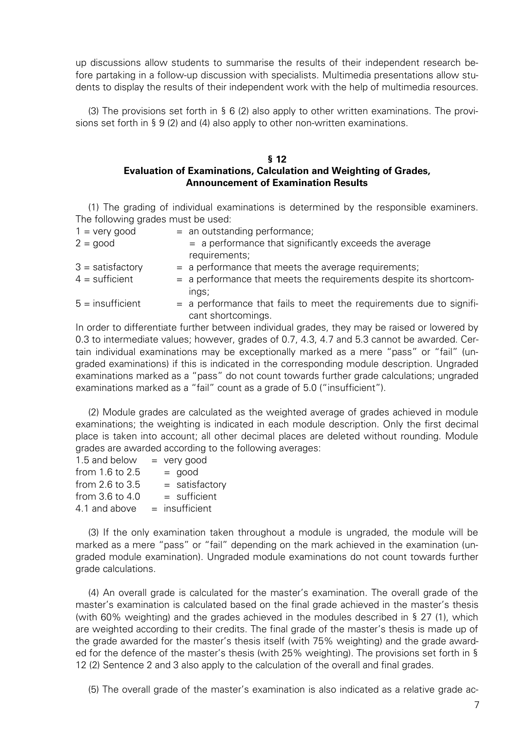up discussions allow students to summarise the results of their independent research before partaking in a follow-up discussion with specialists. Multimedia presentations allow students to display the results of their independent work with the help of multimedia resources.

(3) The provisions set forth in § 6 (2) also apply to other written examinations. The provisions set forth in § 9 (2) and (4) also apply to other non-written examinations.

# **§ 12 Evaluation of Examinations, Calculation and Weighting of Grades, Announcement of Examination Results**

(1) The grading of individual examinations is determined by the responsible examiners. The following grades must be used:

| $1 = \text{very good}$ | $=$ an outstanding performance;                                                           |
|------------------------|-------------------------------------------------------------------------------------------|
| $2 = good$             | = a performance that significantly exceeds the average<br>requirements;                   |
|                        |                                                                                           |
| $3 =$ satisfactory     | $=$ a performance that meets the average requirements;                                    |
| $4 =$ sufficient       | = a performance that meets the requirements despite its shortcom-                         |
|                        | ings;                                                                                     |
| $5 =$ insufficient     | = a performance that fails to meet the requirements due to signifi-<br>cant shortcomings. |

In order to differentiate further between individual grades, they may be raised or lowered by 0.3 to intermediate values; however, grades of 0.7, 4.3, 4.7 and 5.3 cannot be awarded. Certain individual examinations may be exceptionally marked as a mere "pass" or "fail" (ungraded examinations) if this is indicated in the corresponding module description. Ungraded examinations marked as a "pass" do not count towards further grade calculations; ungraded examinations marked as a "fail" count as a grade of 5.0 ("insufficient").

(2) Module grades are calculated as the weighted average of grades achieved in module examinations; the weighting is indicated in each module description. Only the first decimal place is taken into account; all other decimal places are deleted without rounding. Module grades are awarded according to the following averages:

| 1.5 and below       | $=$ very good    |
|---------------------|------------------|
| from 1.6 to 2.5     | $=$ good         |
| from $2.6$ to $3.5$ | $=$ satisfactory |
| from 3.6 to 4.0     | $=$ sufficient   |
| 4.1 and above       | $=$ insufficient |

(3) If the only examination taken throughout a module is ungraded, the module will be marked as a mere "pass" or "fail" depending on the mark achieved in the examination (ungraded module examination). Ungraded module examinations do not count towards further grade calculations.

(4) An overall grade is calculated for the master's examination. The overall grade of the master's examination is calculated based on the final grade achieved in the master's thesis (with 60% weighting) and the grades achieved in the modules described in § 27 (1), which are weighted according to their credits. The final grade of the master's thesis is made up of the grade awarded for the master's thesis itself (with 75% weighting) and the grade awarded for the defence of the master's thesis (with 25% weighting). The provisions set forth in § 12 (2) Sentence 2 and 3 also apply to the calculation of the overall and final grades.

(5) The overall grade of the master's examination is also indicated as a relative grade ac-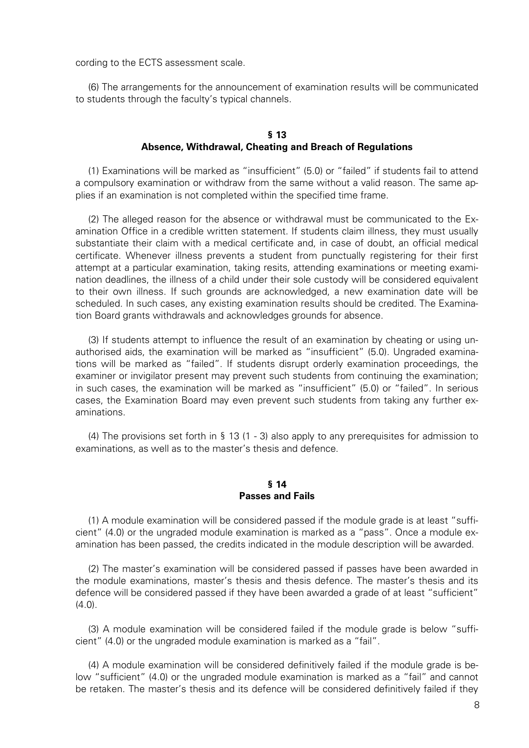cording to the ECTS assessment scale.

(6) The arrangements for the announcement of examination results will be communicated to students through the faculty's typical channels.

# **§ 13 Absence, Withdrawal, Cheating and Breach of Regulations**

(1) Examinations will be marked as "insufficient" (5.0) or "failed" if students fail to attend a compulsory examination or withdraw from the same without a valid reason. The same applies if an examination is not completed within the specified time frame.

(2) The alleged reason for the absence or withdrawal must be communicated to the Examination Office in a credible written statement. If students claim illness, they must usually substantiate their claim with a medical certificate and, in case of doubt, an official medical certificate. Whenever illness prevents a student from punctually registering for their first attempt at a particular examination, taking resits, attending examinations or meeting examination deadlines, the illness of a child under their sole custody will be considered equivalent to their own illness. If such grounds are acknowledged, a new examination date will be scheduled. In such cases, any existing examination results should be credited. The Examination Board grants withdrawals and acknowledges grounds for absence.

(3) If students attempt to influence the result of an examination by cheating or using unauthorised aids, the examination will be marked as "insufficient" (5.0). Ungraded examinations will be marked as "failed". If students disrupt orderly examination proceedings, the examiner or invigilator present may prevent such students from continuing the examination; in such cases, the examination will be marked as "insufficient" (5.0) or "failed". In serious cases, the Examination Board may even prevent such students from taking any further examinations.

(4) The provisions set forth in § 13 (1 - 3) also apply to any prerequisites for admission to examinations, as well as to the master's thesis and defence.

# **§ 14 Passes and Fails**

(1) A module examination will be considered passed if the module grade is at least "sufficient" (4.0) or the ungraded module examination is marked as a "pass". Once a module examination has been passed, the credits indicated in the module description will be awarded.

(2) The master's examination will be considered passed if passes have been awarded in the module examinations, master's thesis and thesis defence. The master's thesis and its defence will be considered passed if they have been awarded a grade of at least "sufficient"  $(4.0).$ 

(3) A module examination will be considered failed if the module grade is below "sufficient" (4.0) or the ungraded module examination is marked as a "fail".

(4) A module examination will be considered definitively failed if the module grade is below "sufficient" (4.0) or the ungraded module examination is marked as a "fail" and cannot be retaken. The master's thesis and its defence will be considered definitively failed if they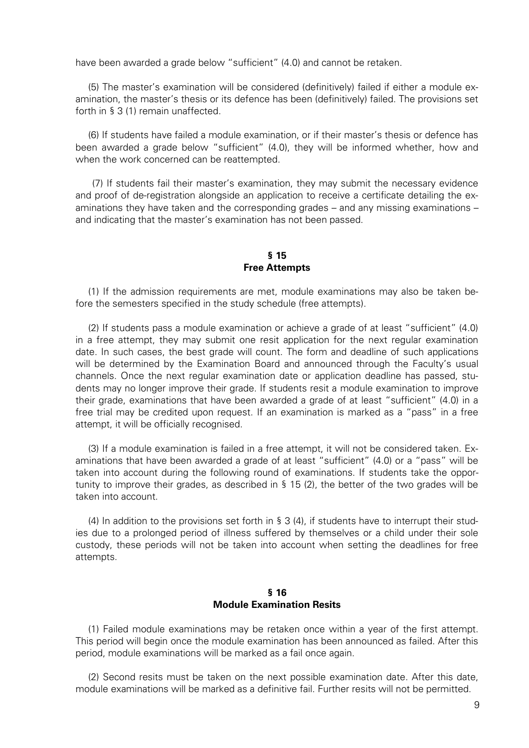have been awarded a grade below "sufficient" (4.0) and cannot be retaken.

(5) The master's examination will be considered (definitively) failed if either a module examination, the master's thesis or its defence has been (definitively) failed. The provisions set forth in § 3 (1) remain unaffected.

(6) If students have failed a module examination, or if their master's thesis or defence has been awarded a grade below "sufficient" (4.0), they will be informed whether, how and when the work concerned can be reattempted.

(7) If students fail their master's examination, they may submit the necessary evidence and proof of de-registration alongside an application to receive a certificate detailing the examinations they have taken and the corresponding grades – and any missing examinations – and indicating that the master's examination has not been passed.

#### **§ 15 Free Attempts**

(1) If the admission requirements are met, module examinations may also be taken before the semesters specified in the study schedule (free attempts).

(2) If students pass a module examination or achieve a grade of at least "sufficient" (4.0) in a free attempt, they may submit one resit application for the next regular examination date. In such cases, the best grade will count. The form and deadline of such applications will be determined by the Examination Board and announced through the Faculty's usual channels. Once the next regular examination date or application deadline has passed, students may no longer improve their grade. If students resit a module examination to improve their grade, examinations that have been awarded a grade of at least "sufficient" (4.0) in a free trial may be credited upon request. If an examination is marked as a "pass" in a free attempt, it will be officially recognised.

(3) If a module examination is failed in a free attempt, it will not be considered taken. Examinations that have been awarded a grade of at least "sufficient" (4.0) or a "pass" will be taken into account during the following round of examinations. If students take the opportunity to improve their grades, as described in § 15 (2), the better of the two grades will be taken into account.

(4) In addition to the provisions set forth in § 3 (4), if students have to interrupt their studies due to a prolonged period of illness suffered by themselves or a child under their sole custody, these periods will not be taken into account when setting the deadlines for free attempts.

# **§ 16 Module Examination Resits**

(1) Failed module examinations may be retaken once within a year of the first attempt. This period will begin once the module examination has been announced as failed. After this period, module examinations will be marked as a fail once again.

(2) Second resits must be taken on the next possible examination date. After this date, module examinations will be marked as a definitive fail. Further resits will not be permitted.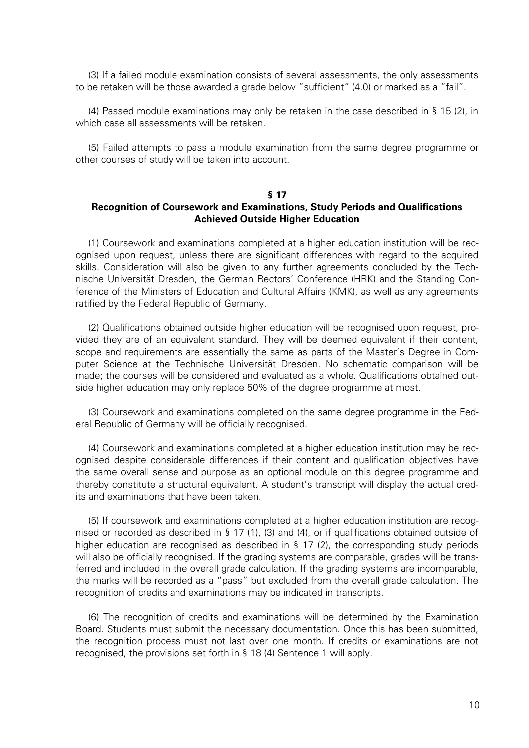(3) If a failed module examination consists of several assessments, the only assessments to be retaken will be those awarded a grade below "sufficient" (4.0) or marked as a "fail".

(4) Passed module examinations may only be retaken in the case described in § 15 (2), in which case all assessments will be retaken.

(5) Failed attempts to pass a module examination from the same degree programme or other courses of study will be taken into account.

#### **§ 17**

### **Recognition of Coursework and Examinations, Study Periods and Qualifications Achieved Outside Higher Education**

(1) Coursework and examinations completed at a higher education institution will be recognised upon request, unless there are significant differences with regard to the acquired skills. Consideration will also be given to any further agreements concluded by the Technische Universität Dresden, the German Rectors' Conference (HRK) and the Standing Conference of the Ministers of Education and Cultural Affairs (KMK), as well as any agreements ratified by the Federal Republic of Germany.

(2) Qualifications obtained outside higher education will be recognised upon request, provided they are of an equivalent standard. They will be deemed equivalent if their content, scope and requirements are essentially the same as parts of the Master's Degree in Computer Science at the Technische Universität Dresden. No schematic comparison will be made; the courses will be considered and evaluated as a whole. Qualifications obtained outside higher education may only replace 50% of the degree programme at most.

(3) Coursework and examinations completed on the same degree programme in the Federal Republic of Germany will be officially recognised.

(4) Coursework and examinations completed at a higher education institution may be recognised despite considerable differences if their content and qualification objectives have the same overall sense and purpose as an optional module on this degree programme and thereby constitute a structural equivalent. A student's transcript will display the actual credits and examinations that have been taken.

(5) If coursework and examinations completed at a higher education institution are recognised or recorded as described in § 17 (1), (3) and (4), or if qualifications obtained outside of higher education are recognised as described in § 17 (2), the corresponding study periods will also be officially recognised. If the grading systems are comparable, grades will be transferred and included in the overall grade calculation. If the grading systems are incomparable, the marks will be recorded as a "pass" but excluded from the overall grade calculation. The recognition of credits and examinations may be indicated in transcripts.

(6) The recognition of credits and examinations will be determined by the Examination Board. Students must submit the necessary documentation. Once this has been submitted, the recognition process must not last over one month. If credits or examinations are not recognised, the provisions set forth in § 18 (4) Sentence 1 will apply.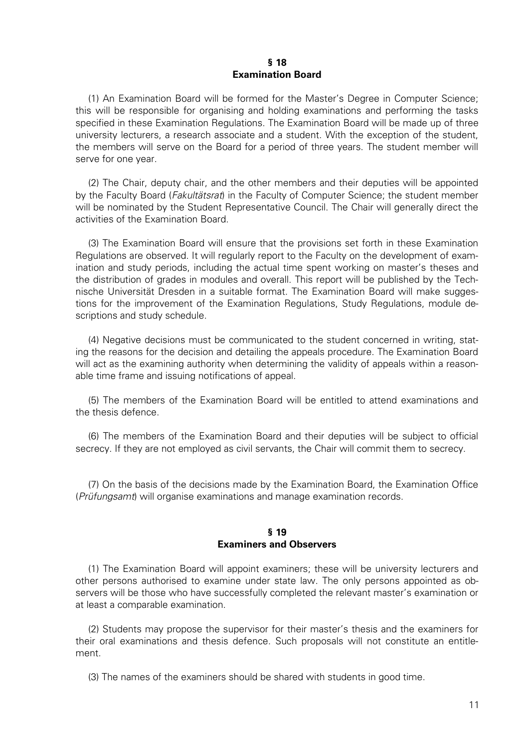#### **§ 18 Examination Board**

(1) An Examination Board will be formed for the Master's Degree in Computer Science; this will be responsible for organising and holding examinations and performing the tasks specified in these Examination Regulations. The Examination Board will be made up of three university lecturers, a research associate and a student. With the exception of the student, the members will serve on the Board for a period of three years. The student member will serve for one year.

(2) The Chair, deputy chair, and the other members and their deputies will be appointed by the Faculty Board (*Fakultätsrat*) in the Faculty of Computer Science; the student member will be nominated by the Student Representative Council. The Chair will generally direct the activities of the Examination Board.

(3) The Examination Board will ensure that the provisions set forth in these Examination Regulations are observed. It will regularly report to the Faculty on the development of examination and study periods, including the actual time spent working on master's theses and the distribution of grades in modules and overall. This report will be published by the Technische Universität Dresden in a suitable format. The Examination Board will make suggestions for the improvement of the Examination Regulations, Study Regulations, module descriptions and study schedule.

(4) Negative decisions must be communicated to the student concerned in writing, stating the reasons for the decision and detailing the appeals procedure. The Examination Board will act as the examining authority when determining the validity of appeals within a reasonable time frame and issuing notifications of appeal.

(5) The members of the Examination Board will be entitled to attend examinations and the thesis defence.

(6) The members of the Examination Board and their deputies will be subject to official secrecy. If they are not employed as civil servants, the Chair will commit them to secrecy.

(7) On the basis of the decisions made by the Examination Board, the Examination Office (Prüfungsamt) will organise examinations and manage examination records.

# **§ 19 Examiners and Observers**

(1) The Examination Board will appoint examiners; these will be university lecturers and other persons authorised to examine under state law. The only persons appointed as observers will be those who have successfully completed the relevant master's examination or at least a comparable examination.

(2) Students may propose the supervisor for their master's thesis and the examiners for their oral examinations and thesis defence. Such proposals will not constitute an entitlement.

(3) The names of the examiners should be shared with students in good time.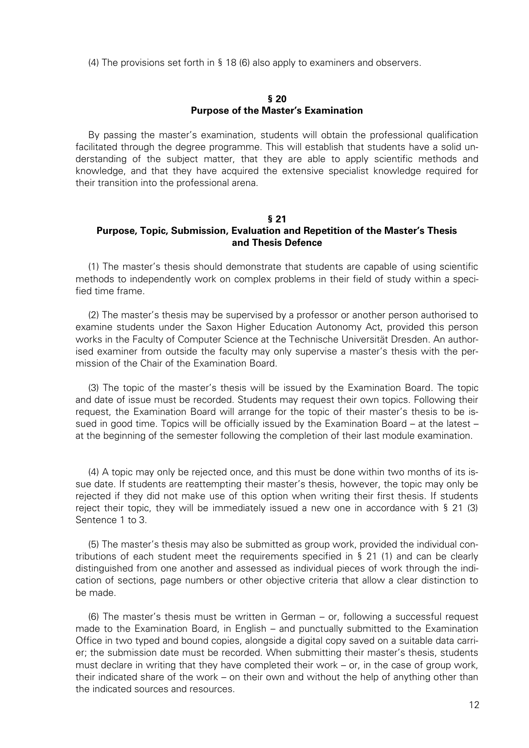(4) The provisions set forth in § 18 (6) also apply to examiners and observers.

#### **§ 20 Purpose of the Master's Examination**

By passing the master's examination, students will obtain the professional qualification facilitated through the degree programme. This will establish that students have a solid understanding of the subject matter, that they are able to apply scientific methods and knowledge, and that they have acquired the extensive specialist knowledge required for their transition into the professional arena.

#### **§ 21**

# **Purpose, Topic, Submission, Evaluation and Repetition of the Master's Thesis and Thesis Defence**

(1) The master's thesis should demonstrate that students are capable of using scientific methods to independently work on complex problems in their field of study within a specified time frame.

(2) The master's thesis may be supervised by a professor or another person authorised to examine students under the Saxon Higher Education Autonomy Act, provided this person works in the Faculty of Computer Science at the Technische Universität Dresden. An authorised examiner from outside the faculty may only supervise a master's thesis with the permission of the Chair of the Examination Board.

(3) The topic of the master's thesis will be issued by the Examination Board. The topic and date of issue must be recorded. Students may request their own topics. Following their request, the Examination Board will arrange for the topic of their master's thesis to be issued in good time. Topics will be officially issued by the Examination Board – at the latest – at the beginning of the semester following the completion of their last module examination.

(4) A topic may only be rejected once, and this must be done within two months of its issue date. If students are reattempting their master's thesis, however, the topic may only be rejected if they did not make use of this option when writing their first thesis. If students reject their topic, they will be immediately issued a new one in accordance with § 21 (3) Sentence 1 to 3.

(5) The master's thesis may also be submitted as group work, provided the individual contributions of each student meet the requirements specified in § 21 (1) and can be clearly distinguished from one another and assessed as individual pieces of work through the indication of sections, page numbers or other objective criteria that allow a clear distinction to be made.

(6) The master's thesis must be written in German – or, following a successful request made to the Examination Board, in English – and punctually submitted to the Examination Office in two typed and bound copies, alongside a digital copy saved on a suitable data carrier; the submission date must be recorded. When submitting their master's thesis, students must declare in writing that they have completed their work – or, in the case of group work, their indicated share of the work – on their own and without the help of anything other than the indicated sources and resources.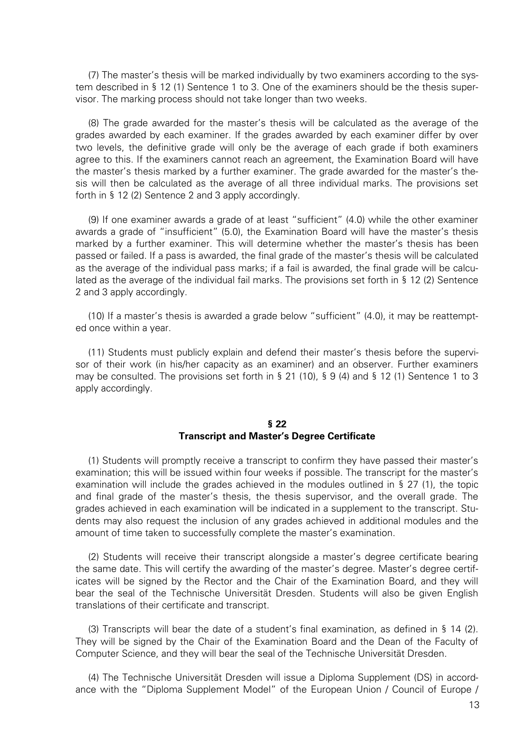(7) The master's thesis will be marked individually by two examiners according to the system described in § 12 (1) Sentence 1 to 3. One of the examiners should be the thesis supervisor. The marking process should not take longer than two weeks.

(8) The grade awarded for the master's thesis will be calculated as the average of the grades awarded by each examiner. If the grades awarded by each examiner differ by over two levels, the definitive grade will only be the average of each grade if both examiners agree to this. If the examiners cannot reach an agreement, the Examination Board will have the master's thesis marked by a further examiner. The grade awarded for the master's thesis will then be calculated as the average of all three individual marks. The provisions set forth in § 12 (2) Sentence 2 and 3 apply accordingly.

(9) If one examiner awards a grade of at least "sufficient" (4.0) while the other examiner awards a grade of "insufficient" (5.0), the Examination Board will have the master's thesis marked by a further examiner. This will determine whether the master's thesis has been passed or failed. If a pass is awarded, the final grade of the master's thesis will be calculated as the average of the individual pass marks; if a fail is awarded, the final grade will be calculated as the average of the individual fail marks. The provisions set forth in § 12 (2) Sentence 2 and 3 apply accordingly.

(10) If a master's thesis is awarded a grade below "sufficient" (4.0), it may be reattempted once within a year.

(11) Students must publicly explain and defend their master's thesis before the supervisor of their work (in his/her capacity as an examiner) and an observer. Further examiners may be consulted. The provisions set forth in  $\S 21$  (10),  $\S 9$  (4) and  $\S 12$  (1) Sentence 1 to 3 apply accordingly.

# **§ 22 Transcript and Master's Degree Certificate**

(1) Students will promptly receive a transcript to confirm they have passed their master's examination; this will be issued within four weeks if possible. The transcript for the master's examination will include the grades achieved in the modules outlined in § 27 (1), the topic and final grade of the master's thesis, the thesis supervisor, and the overall grade. The grades achieved in each examination will be indicated in a supplement to the transcript. Students may also request the inclusion of any grades achieved in additional modules and the amount of time taken to successfully complete the master's examination.

(2) Students will receive their transcript alongside a master's degree certificate bearing the same date. This will certify the awarding of the master's degree. Master's degree certificates will be signed by the Rector and the Chair of the Examination Board, and they will bear the seal of the Technische Universität Dresden. Students will also be given English translations of their certificate and transcript.

(3) Transcripts will bear the date of a student's final examination, as defined in § 14 (2). They will be signed by the Chair of the Examination Board and the Dean of the Faculty of Computer Science, and they will bear the seal of the Technische Universität Dresden.

(4) The Technische Universität Dresden will issue a Diploma Supplement (DS) in accordance with the "Diploma Supplement Model" of the European Union / Council of Europe /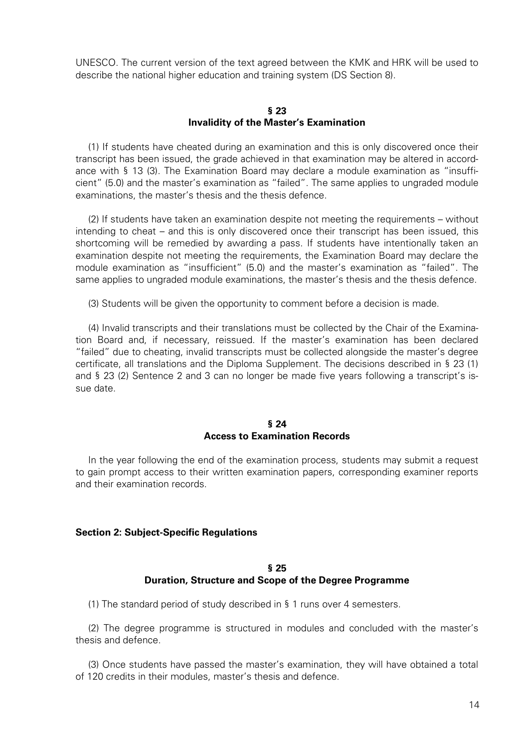UNESCO. The current version of the text agreed between the KMK and HRK will be used to describe the national higher education and training system (DS Section 8).

#### **§ 23 Invalidity of the Master's Examination**

(1) If students have cheated during an examination and this is only discovered once their transcript has been issued, the grade achieved in that examination may be altered in accordance with § 13 (3). The Examination Board may declare a module examination as "insufficient" (5.0) and the master's examination as "failed". The same applies to ungraded module examinations, the master's thesis and the thesis defence.

(2) If students have taken an examination despite not meeting the requirements – without intending to cheat – and this is only discovered once their transcript has been issued, this shortcoming will be remedied by awarding a pass. If students have intentionally taken an examination despite not meeting the requirements, the Examination Board may declare the module examination as "insufficient" (5.0) and the master's examination as "failed". The same applies to ungraded module examinations, the master's thesis and the thesis defence.

(3) Students will be given the opportunity to comment before a decision is made.

(4) Invalid transcripts and their translations must be collected by the Chair of the Examination Board and, if necessary, reissued. If the master's examination has been declared "failed" due to cheating, invalid transcripts must be collected alongside the master's degree certificate, all translations and the Diploma Supplement. The decisions described in § 23 (1) and § 23 (2) Sentence 2 and 3 can no longer be made five years following a transcript's issue date.

### **§ 24 Access to Examination Records**

In the year following the end of the examination process, students may submit a request to gain prompt access to their written examination papers, corresponding examiner reports and their examination records.

# **Section 2: Subject-Specific Regulations**

# **§ 25 Duration, Structure and Scope of the Degree Programme**

(1) The standard period of study described in § 1 runs over 4 semesters.

(2) The degree programme is structured in modules and concluded with the master's thesis and defence.

(3) Once students have passed the master's examination, they will have obtained a total of 120 credits in their modules, master's thesis and defence.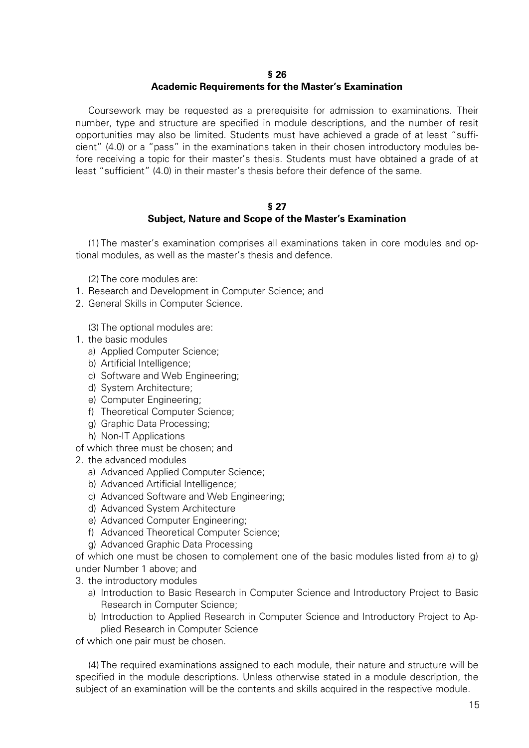#### **§ 26**

# **Academic Requirements for the Master's Examination**

Coursework may be requested as a prerequisite for admission to examinations. Their number, type and structure are specified in module descriptions, and the number of resit opportunities may also be limited. Students must have achieved a grade of at least "sufficient" (4.0) or a "pass" in the examinations taken in their chosen introductory modules before receiving a topic for their master's thesis. Students must have obtained a grade of at least "sufficient" (4.0) in their master's thesis before their defence of the same.

#### **§ 27 Subject, Nature and Scope of the Master's Examination**

(1) The master's examination comprises all examinations taken in core modules and optional modules, as well as the master's thesis and defence.

(2) The core modules are:

- 1. Research and Development in Computer Science; and
- 2. General Skills in Computer Science.

(3) The optional modules are:

- 1. the basic modules
	- a) Applied Computer Science;
	- b) Artificial Intelligence;
	- c) Software and Web Engineering;
	- d) System Architecture;
	- e) Computer Engineering;
	- f) Theoretical Computer Science;
	- g) Graphic Data Processing;
	- h) Non-IT Applications
- of which three must be chosen; and
- 2. the advanced modules
	- a) Advanced Applied Computer Science;
	- b) Advanced Artificial Intelligence;
	- c) Advanced Software and Web Engineering;
	- d) Advanced System Architecture
	- e) Advanced Computer Engineering;
	- f) Advanced Theoretical Computer Science;
	- g) Advanced Graphic Data Processing

of which one must be chosen to complement one of the basic modules listed from a) to g) under Number 1 above; and

3. the introductory modules

- a) Introduction to Basic Research in Computer Science and Introductory Project to Basic Research in Computer Science;
- b) Introduction to Applied Research in Computer Science and Introductory Project to Applied Research in Computer Science

of which one pair must be chosen.

(4) The required examinations assigned to each module, their nature and structure will be specified in the module descriptions. Unless otherwise stated in a module description, the subject of an examination will be the contents and skills acquired in the respective module.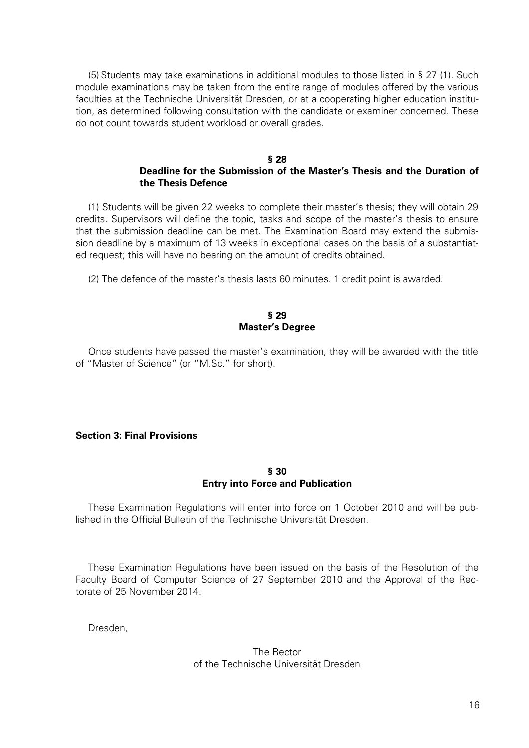(5) Students may take examinations in additional modules to those listed in § 27 (1). Such module examinations may be taken from the entire range of modules offered by the various faculties at the Technische Universität Dresden, or at a cooperating higher education institution, as determined following consultation with the candidate or examiner concerned. These do not count towards student workload or overall grades.

#### **§ 28 Deadline for the Submission of the Master's Thesis and the Duration of the Thesis Defence**

(1) Students will be given 22 weeks to complete their master's thesis; they will obtain 29 credits. Supervisors will define the topic, tasks and scope of the master's thesis to ensure that the submission deadline can be met. The Examination Board may extend the submission deadline by a maximum of 13 weeks in exceptional cases on the basis of a substantiated request; this will have no bearing on the amount of credits obtained.

(2) The defence of the master's thesis lasts 60 minutes. 1 credit point is awarded.

### **§ 29 Master's Degree**

Once students have passed the master's examination, they will be awarded with the title of "Master of Science" (or "M.Sc." for short).

# **Section 3: Final Provisions**

#### **§ 30 Entry into Force and Publication**

These Examination Regulations will enter into force on 1 October 2010 and will be published in the Official Bulletin of the Technische Universität Dresden.

These Examination Regulations have been issued on the basis of the Resolution of the Faculty Board of Computer Science of 27 September 2010 and the Approval of the Rectorate of 25 November 2014.

Dresden,

# The Rector of the Technische Universität Dresden